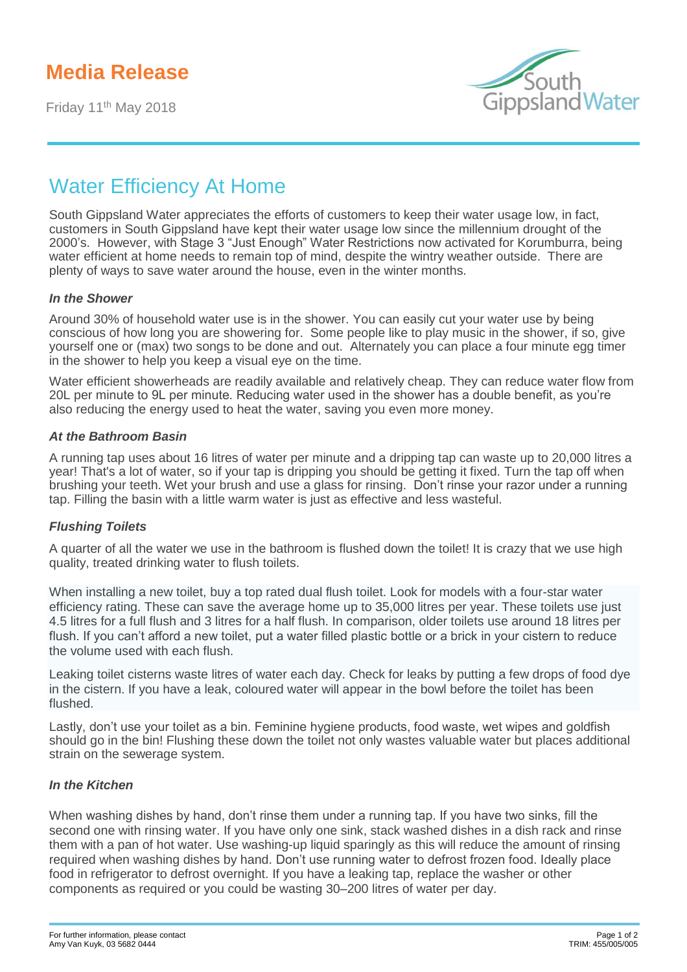# **Media Release**

Friday 11<sup>th</sup> May 2018



# Water Efficiency At Home

South Gippsland Water appreciates the efforts of customers to keep their water usage low, in fact, customers in South Gippsland have kept their water usage low since the millennium drought of the 2000's. However, with Stage 3 "Just Enough" Water Restrictions now activated for Korumburra, being water efficient at home needs to remain top of mind, despite the wintry weather outside. There are plenty of ways to save water around the house, even in the winter months.

#### *In the Shower*

Around 30% of household water use is in the shower. You can easily cut your water use by being conscious of how long you are showering for. Some people like to play music in the shower, if so, give yourself one or (max) two songs to be done and out. Alternately you can place a four minute egg timer in the shower to help you keep a visual eye on the time.

Water efficient showerheads are readily available and relatively cheap. They can reduce water flow from 20L per minute to 9L per minute. Reducing water used in the shower has a double benefit, as you're also reducing the energy used to heat the water, saving you even more money.

#### *At the Bathroom Basin*

A running tap uses about 16 litres of water per minute and a dripping tap can waste up to 20,000 litres a year! That's a lot of water, so if your tap is dripping you should be getting it fixed. Turn the tap off when brushing your teeth. Wet your brush and use a glass for rinsing. Don't rinse your razor under a running tap. Filling the basin with a little warm water is just as effective and less wasteful.

### *Flushing Toilets*

A quarter of all the water we use in the bathroom is flushed down the toilet! It is crazy that we use high quality, treated drinking water to flush toilets.

When installing a new toilet, buy a top rated dual flush toilet. Look for models with a four-star water efficiency rating. These can save the average home up to 35,000 litres per year. These toilets use just 4.5 litres for a full flush and 3 litres for a half flush. In comparison, older toilets use around 18 litres per flush. If you can't afford a new toilet, put a water filled plastic bottle or a brick in your cistern to reduce the volume used with each flush.

Leaking toilet cisterns waste litres of water each day. Check for leaks by putting a few drops of food dye in the cistern. If you have a leak, coloured water will appear in the bowl before the toilet has been flushed.

Lastly, don't use your toilet as a bin. Feminine hygiene products, food waste, wet wipes and goldfish should go in the bin! Flushing these down the toilet not only wastes valuable water but places additional strain on the sewerage system.

### *In the Kitchen*

When washing dishes by hand, don't rinse them under a running tap. If you have two sinks, fill the second one with rinsing water. If you have only one sink, stack washed dishes in a dish rack and rinse them with a pan of hot water. Use washing-up liquid sparingly as this will reduce the amount of rinsing required when washing dishes by hand. Don't use running water to defrost frozen food. Ideally place food in refrigerator to defrost overnight. If you have a leaking tap, replace the washer or other components as required or you could be wasting 30–200 litres of water per day.